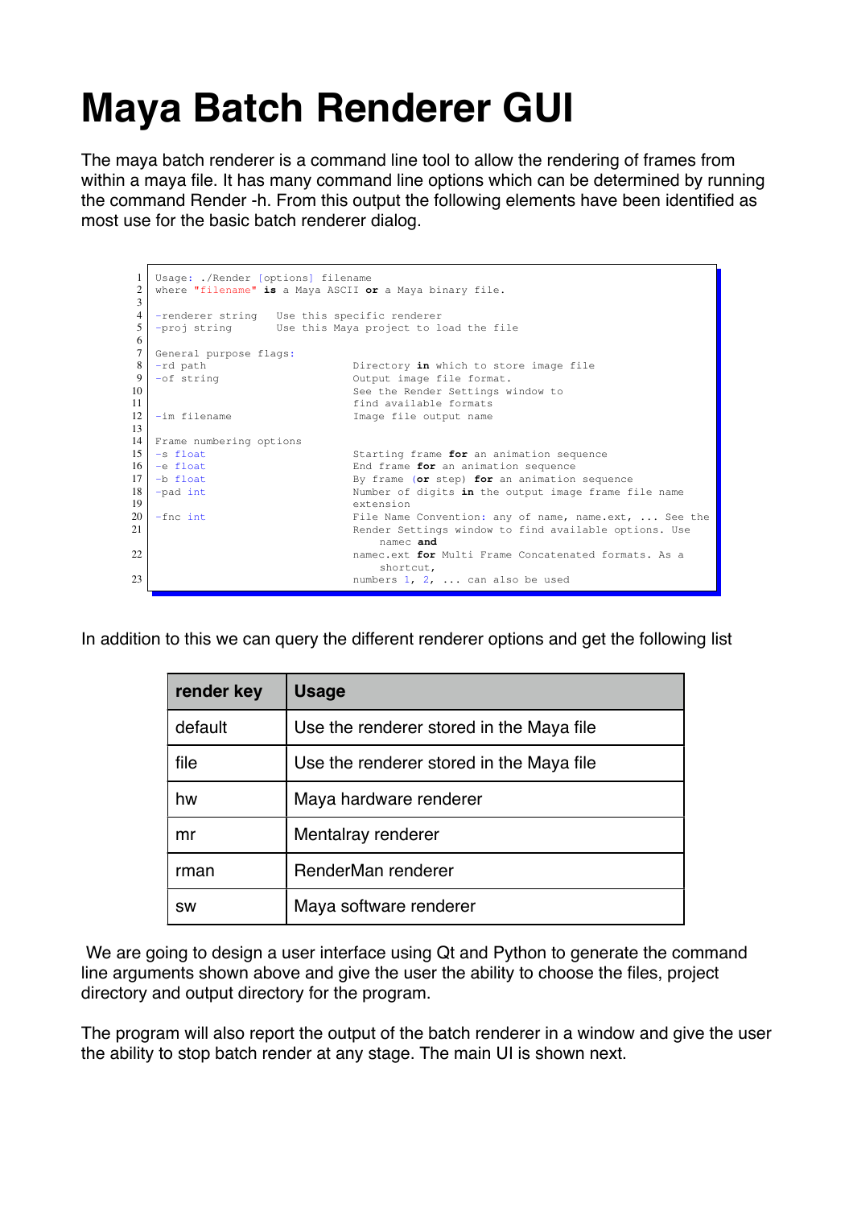# **Maya Batch Renderer GUI**

The maya batch renderer is a command line tool to allow the rendering of frames from within a maya file. It has many command line options which can be determined by running the command Render -h. From this output the following elements have been identified as most use for the basic batch renderer dialog.



In addition to this we can query the different renderer options and get the following list

| render key | <b>Usage</b>                             |
|------------|------------------------------------------|
| default    | Use the renderer stored in the Maya file |
| file       | Use the renderer stored in the Maya file |
| hw         | Maya hardware renderer                   |
| mr         | Mentalray renderer                       |
| rman       | RenderMan renderer                       |
| <b>SW</b>  | Maya software renderer                   |

We are going to design a user interface using Qt and Python to generate the command line arguments shown above and give the user the ability to choose the files, project directory and output directory for the program.

The program will also report the output of the batch renderer in a window and give the user the ability to stop batch render at any stage. The main UI is shown next.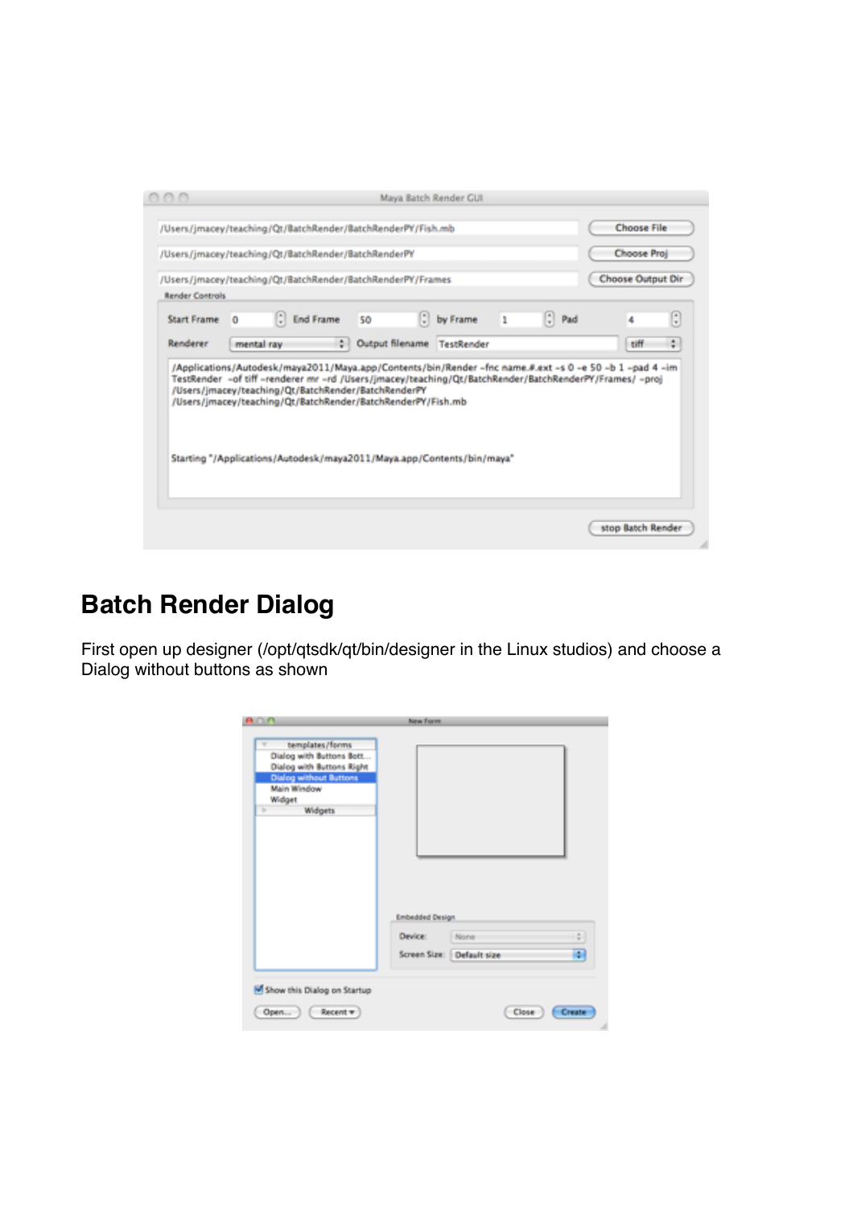|                                                     |            |                  | Maya Batch Render GUI                                                                                                                |                       |     |                                                         |                    |                                                                                                       |
|-----------------------------------------------------|------------|------------------|--------------------------------------------------------------------------------------------------------------------------------------|-----------------------|-----|---------------------------------------------------------|--------------------|-------------------------------------------------------------------------------------------------------|
|                                                     |            |                  | /Users/jmacey/teaching/Qt/BatchRender/BatchRenderPY/Fish.mb                                                                          |                       |     |                                                         | <b>Choose File</b> |                                                                                                       |
| /Users/jmacey/teaching/Qt/BatchRender/BatchRenderPY |            |                  |                                                                                                                                      |                       |     |                                                         | Choose Proj        |                                                                                                       |
|                                                     |            |                  | /Users/jmacey/teaching/Qt/BatchRender/BatchRenderPY/Frames                                                                           |                       |     |                                                         | Choose Output Dir  |                                                                                                       |
| <b>Render Controls</b>                              |            |                  |                                                                                                                                      |                       |     |                                                         |                    |                                                                                                       |
| <b>Start Frame</b>                                  | ы          | <b>End Frame</b> | 50                                                                                                                                   | $\therefore$ by Frame | - 1 | $\left[\begin{array}{cc} 1 \\ 2 \end{array}\right]$ Pad | 4                  | ٦                                                                                                     |
| Renderer                                            | mental ray | ٠                | Output filename                                                                                                                      | TestRender            |     |                                                         | tiff               | ÷                                                                                                     |
|                                                     |            |                  | /Users/imacey/teaching/Qt/BatchRender/BatchRenderPY                                                                                  |                       |     |                                                         |                    | TestRender -of tiff-renderer mr -rd /Users/jmacey/teaching/Qt/BatchRender/BatchRenderPY/Frames/ -proj |
|                                                     |            |                  | /Users/jmacey/teaching/Qt/BatchRender/BatchRenderPY/Fish.mb<br>Starting "/Applications/Autodesk/maya2011/Maya.app/Contents/bin/maya" |                       |     |                                                         |                    |                                                                                                       |

# **Batch Render Dialog**

First open up designer (/opt/qtsdk/qt/bin/designer in the Linux studios) and choose a Dialog without buttons as shown

| ADA                                                                                                                                                                  | <b>New Form</b>                              |        |
|----------------------------------------------------------------------------------------------------------------------------------------------------------------------|----------------------------------------------|--------|
| templates/forms<br>v<br>Dialog with Buttons Bott<br>Dialog with Buttons Right<br><b>Dialog without Buttons</b><br>Main Window<br>Widget<br>Widgets<br><b>Britain</b> | <b>Embedded Design</b>                       |        |
|                                                                                                                                                                      | Device:<br>None<br>Screen Size: Default size | ÷<br>F |
| Show this Dialog on Startup<br>Open ) ( $Recent$                                                                                                                     | Close                                        | Create |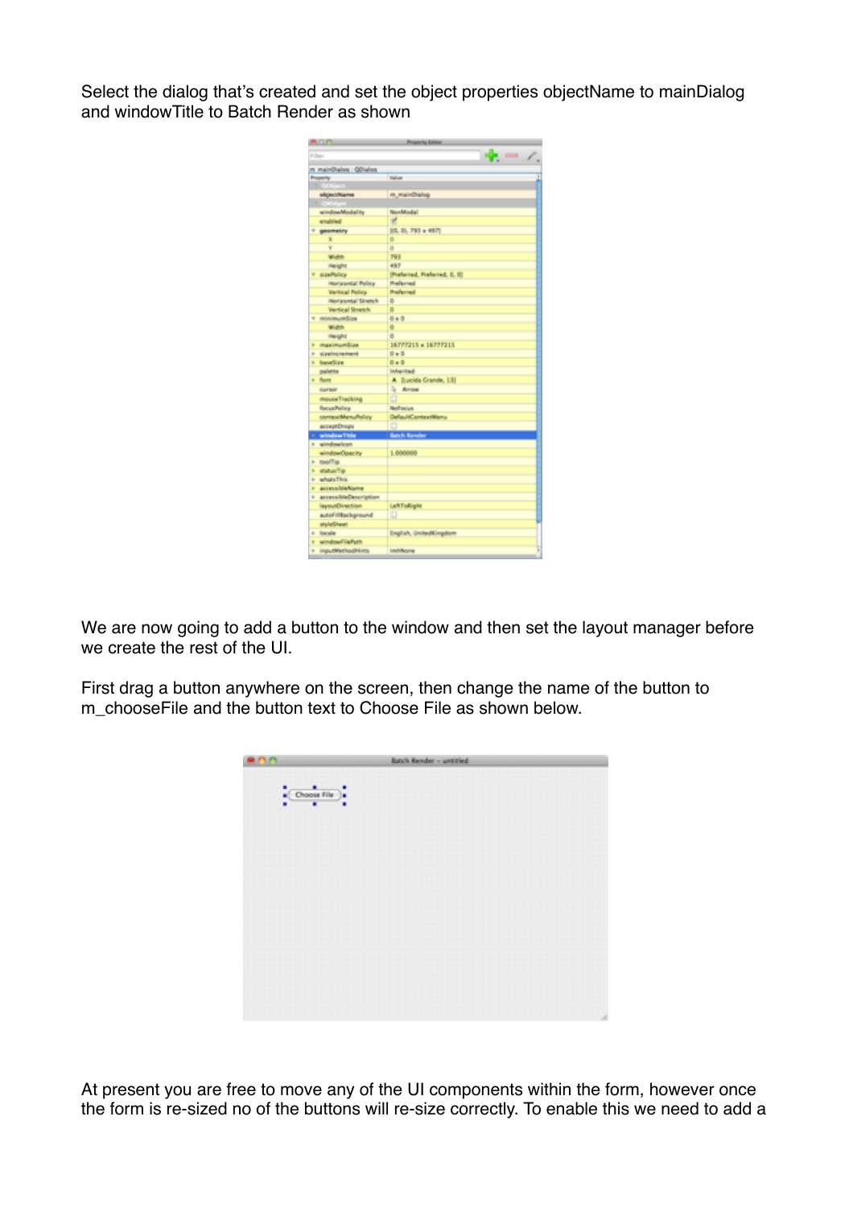Select the dialog that's created and set the object properties objectName to mainDialog and windowTitle to Batch Render as shown

|                                    | Programs Auto                  |  |
|------------------------------------|--------------------------------|--|
| Filter                             |                                |  |
| m mainDialog : GDialog             |                                |  |
| <b>Projection</b>                  | <b>Talue</b>                   |  |
|                                    |                                |  |
| olyject/Kame                       | m mainDialog                   |  |
|                                    |                                |  |
| windowModality                     | <b>NonModal</b>                |  |
| enabled                            | 受                              |  |
| geometry                           | 10.01.791 × 4971               |  |
| x                                  | ۰                              |  |
| v                                  | o                              |  |
| Width                              | Pitt                           |  |
| Height                             | <b>AIF</b>                     |  |
| stanfolios<br>×                    | (Preferred, Preferred, D. III) |  |
| Horizontal Policy                  | Preferred                      |  |
| <b>Vertical Policy</b>             | <b>Preferred</b>               |  |
| Horizontal Stretch                 | o                              |  |
| Vertical Stretch                   | Ø.                             |  |
| v minimumSipe                      | $0+0$                          |  |
| Width                              | ÷                              |  |
| Height                             | Ø.                             |  |
| maximumfilee<br>٠                  | 16777215 x 16777215            |  |
| <b><i><u>Figelnerement</u></i></b> | $0 = 0$                        |  |
| <b>baseSire</b>                    | $0 = 0$                        |  |
| palette                            | <b>Infraritad</b>              |  |
| a flast                            | A Euckle Grande, 131           |  |
| <b>Gurrade</b>                     | <b>L</b> Area                  |  |
| mouseTracking                      |                                |  |
| <b>Rocus Policy</b>                | Neil saius.                    |  |
| contextMenuPolicy                  | DefaultContextWenu             |  |
| ассертіянору                       |                                |  |
| 1 windowThis                       | <b>Batch Bander</b>            |  |
| <b>1</b> windowlcon                |                                |  |
| windowOpacity                      | 1.000000                       |  |
| » toolf a                          |                                |  |
| F WallanTip                        |                                |  |
| + whatsThis                        |                                |  |
| h accessible Name                  |                                |  |
| 1 accessibleDescription            |                                |  |
| layoutOirection                    | LaftTollight                   |  |
| autoFilitackground                 | o                              |  |
| styleSheet                         |                                |  |
| » locale                           | English, UnitedKingdom         |  |
| > windowFilePath                   |                                |  |
| > inputMethodHims                  | <b>Immediate</b>               |  |
|                                    |                                |  |

We are now going to add a button to the window and then set the layout manager before we create the rest of the UI.

First drag a button anywhere on the screen, then change the name of the button to m\_chooseFile and the button text to Choose File as shown below.



At present you are free to move any of the UI components within the form, however once the form is re-sized no of the buttons will re-size correctly. To enable this we need to add a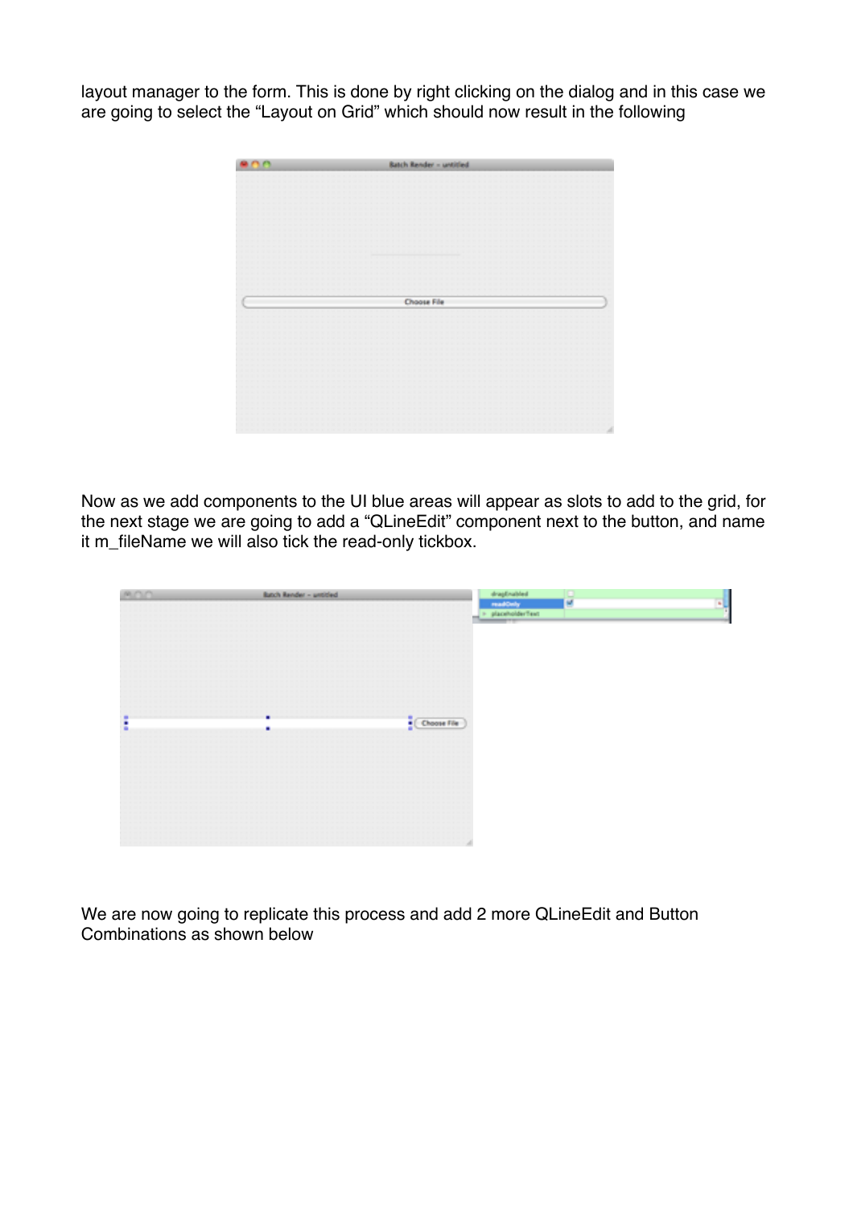layout manager to the form. This is done by right clicking on the dialog and in this case we are going to select the "Layout on Grid" which should now result in the following



Now as we add components to the UI blue areas will appear as slots to add to the grid, for the next stage we are going to add a "QLineEdit" component next to the button, and name it m\_fileName we will also tick the read-only tickbox.

| <b>MOD</b> | Batch Render - untitled |                                   | $\begin{tabular}{ c c } \hline & dragfraided \\ \hline \hline \end{tabular}$ = placeholderText |   | ᆒ |
|------------|-------------------------|-----------------------------------|------------------------------------------------------------------------------------------------|---|---|
|            |                         |                                   |                                                                                                | м |   |
|            |                         |                                   |                                                                                                |   |   |
|            |                         |                                   |                                                                                                |   |   |
|            |                         |                                   |                                                                                                |   |   |
|            |                         |                                   |                                                                                                |   |   |
|            |                         |                                   |                                                                                                |   |   |
|            |                         |                                   |                                                                                                |   |   |
|            |                         |                                   |                                                                                                |   |   |
|            |                         |                                   |                                                                                                |   |   |
|            |                         |                                   |                                                                                                |   |   |
|            |                         |                                   |                                                                                                |   |   |
|            |                         |                                   |                                                                                                |   |   |
|            |                         |                                   |                                                                                                |   |   |
|            |                         |                                   |                                                                                                |   |   |
|            |                         |                                   |                                                                                                |   |   |
|            |                         |                                   |                                                                                                |   |   |
|            | ٠                       | $\frac{1}{\epsilon}$ (Choose File |                                                                                                |   |   |
| ٠          |                         |                                   |                                                                                                |   |   |
|            | ٠                       |                                   |                                                                                                |   |   |
|            |                         |                                   |                                                                                                |   |   |
|            |                         |                                   |                                                                                                |   |   |
|            |                         |                                   |                                                                                                |   |   |
|            |                         |                                   |                                                                                                |   |   |
|            |                         |                                   |                                                                                                |   |   |
|            |                         |                                   |                                                                                                |   |   |
|            |                         |                                   |                                                                                                |   |   |
|            |                         |                                   |                                                                                                |   |   |
|            |                         |                                   |                                                                                                |   |   |
|            |                         |                                   |                                                                                                |   |   |
|            |                         |                                   |                                                                                                |   |   |
|            |                         |                                   |                                                                                                |   |   |
|            |                         |                                   |                                                                                                |   |   |
|            |                         |                                   |                                                                                                |   |   |
|            |                         |                                   |                                                                                                |   |   |
|            |                         |                                   |                                                                                                |   |   |

We are now going to replicate this process and add 2 more QLineEdit and Button Combinations as shown below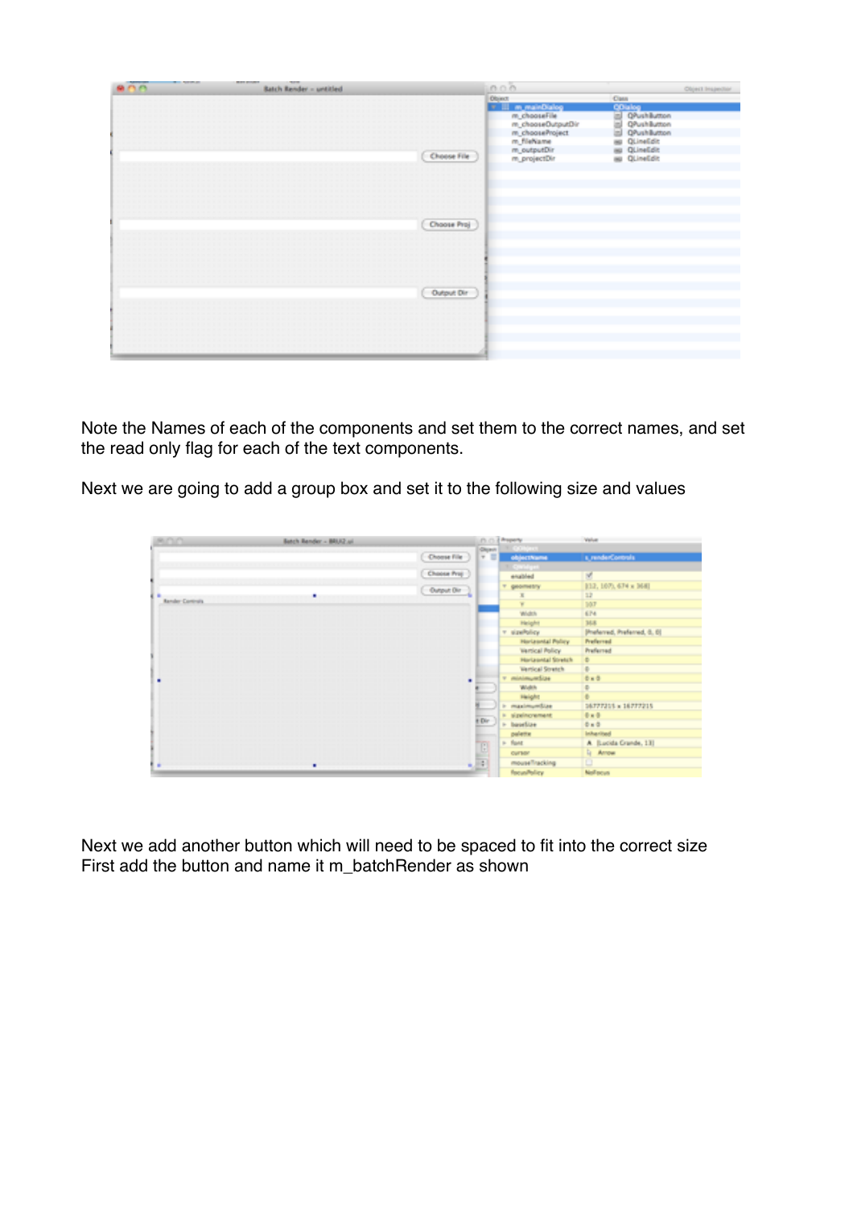| <b>BOOT PRINT</b><br><b>Batch Render - untitled</b> |               | 0.00                                                                                                                                     | Објест (парестан)                                                                                                                     |
|-----------------------------------------------------|---------------|------------------------------------------------------------------------------------------------------------------------------------------|---------------------------------------------------------------------------------------------------------------------------------------|
|                                                     | (Choose File) | Object:<br><b>The Manufacturing</b><br>m_chooseFile<br>m_chooseOutputDir<br>m chooseProject<br>m fileName<br>m_outputDir<br>m_projectDir | Cass<br><b>COialog</b><br>S QPushButton<br>S QPushButton<br>S QPushButton<br><b>BD</b> QLineEdit<br>as QLineEdit<br><b>BU QUINEDR</b> |
|                                                     | (Choose Proj  |                                                                                                                                          |                                                                                                                                       |
|                                                     | Output Dir    |                                                                                                                                          |                                                                                                                                       |
|                                                     |               |                                                                                                                                          |                                                                                                                                       |

Note the Names of each of the components and set them to the correct names, and set the read only flag for each of the text components.

Next we are going to add a group box and set it to the following size and values

| Ann.             | Batch Render - BRUZ ail |                    |        | (1) (1) <i>A Property</i> | Value                        |
|------------------|-------------------------|--------------------|--------|---------------------------|------------------------------|
|                  |                         |                    | Olgast | <b>COMMON</b>             |                              |
|                  |                         | Choose File        | $+ 1$  | objectName                | s, renderControls            |
|                  |                         |                    |        | <b>Configure</b>          |                              |
|                  |                         | (Choose Proj.)     |        | enabled                   | ×                            |
|                  |                         | $($ Output Oir $)$ |        | T geometry                | 112, 107), 674 x 1681        |
|                  | ٠                       |                    |        | x                         | 32                           |
| Render Control's |                         |                    |        | w                         | 107                          |
|                  |                         |                    |        | Width                     | 674                          |
|                  |                         |                    |        | <b>Helght</b>             | 368                          |
|                  |                         |                    |        | v sizeltálov.             | (Preferred, Preferred, 0, 0) |
|                  |                         |                    |        | Horizontal Policy         | Preferred                    |
|                  |                         |                    |        | Vertical Policy           | Preferred                    |
|                  |                         |                    |        | Horizontal Stretch        | ۰                            |
|                  |                         |                    |        | <b>Vertical Stretch</b>   | ٠                            |
| ٠                |                         | ٠                  |        | v minimumfize             | $0 + 0$                      |
|                  |                         |                    |        | Width                     | ٠                            |
|                  |                         |                    |        | Height                    | ٠                            |
|                  |                         |                    |        | maximumSize               | 16777215 x 16777215          |
|                  |                         |                    |        | ii sizelnowment           | $0+0$                        |
|                  |                         |                    | t Dir  | > baselize                | $0 + 0$                      |
|                  |                         |                    |        | palette                   | Inhanited                    |
|                  |                         |                    |        | > funt                    | A Bucida Grande, 131         |
|                  |                         |                    |        | <b>OUTBOY</b>             | <b>G</b> Arrow               |
|                  | ٠                       |                    | 坦      | mouseTracking             | o                            |
|                  |                         |                    |        | focus/folicy              | <b>Neillacus</b>             |

Next we add another button which will need to be spaced to fit into the correct size First add the button and name it m\_batchRender as shown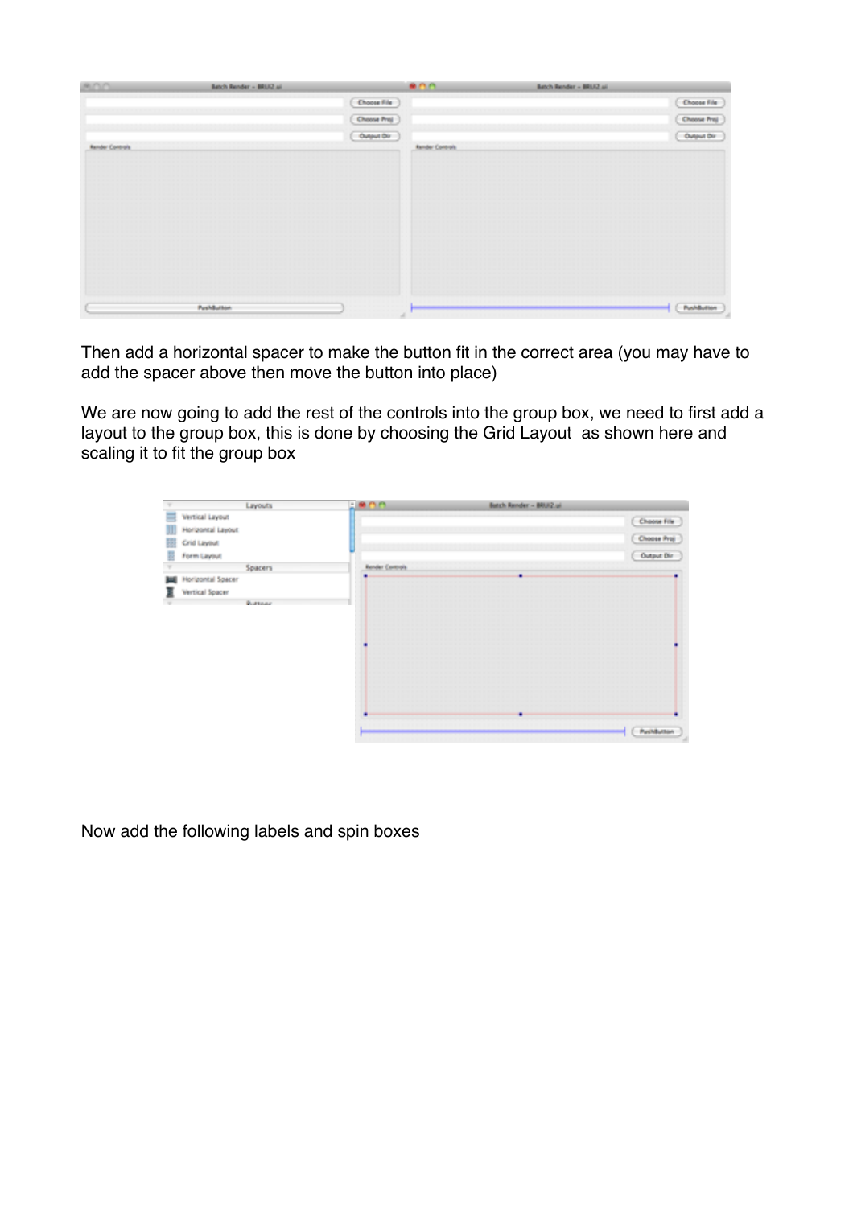| AOO.                   | <b>Batch Render - BRUZ al.</b> |                | 800                    | Batch Render - BRUZ al. |              |
|------------------------|--------------------------------|----------------|------------------------|-------------------------|--------------|
|                        |                                | (Choose File   |                        |                         | (Choose File |
|                        |                                | (Overse Prej.) |                        |                         | Choose Prej  |
|                        |                                | (0             |                        |                         | C Dutput Dir |
| <b>Render Controls</b> |                                |                | <b>Render Controls</b> |                         |              |
|                        |                                |                |                        |                         |              |
|                        |                                |                |                        |                         |              |
|                        |                                |                |                        |                         |              |
|                        |                                |                |                        |                         |              |
|                        |                                |                |                        |                         |              |
|                        |                                |                |                        |                         |              |
|                        |                                |                |                        |                         |              |
|                        |                                |                |                        |                         |              |
|                        |                                |                |                        |                         |              |
|                        |                                |                |                        |                         |              |
|                        | PushButton                     |                | ×                      |                         | [ PushButton |

Then add a horizontal spacer to make the button fit in the correct area (you may have to add the spacer above then move the button into place)

We are now going to add the rest of the controls into the group box, we need to first add a layout to the group box, this is done by choosing the Grid Layout as shown here and scaling it to fit the group box

|                               | Layouts | <b>UNITS</b>           | Batch Render - BRUZ ui |                                                                                                           |
|-------------------------------|---------|------------------------|------------------------|-----------------------------------------------------------------------------------------------------------|
| ≡<br>Vertical Layout          |         |                        |                        | Choose File                                                                                               |
| Ш<br>Horizontal Layout        |         |                        |                        |                                                                                                           |
| 甜<br>Crid Layout              |         |                        |                        | $\begin{array}{l} \begin{array}{l} \textbf{(Dosee Praj)}\\ \textbf{(Dotget Dir)} \end{array} \end{array}$ |
| B<br>Form Layout              |         |                        |                        |                                                                                                           |
|                               | Spacers | <b>Render Controls</b> |                        |                                                                                                           |
| <b>Horizontal Spacer</b><br>网 |         |                        | ٠                      |                                                                                                           |
| 冨<br>Vertical Spacer          |         |                        |                        |                                                                                                           |
|                               | Rottone |                        |                        |                                                                                                           |
|                               |         |                        |                        | PashButton                                                                                                |

Now add the following labels and spin boxes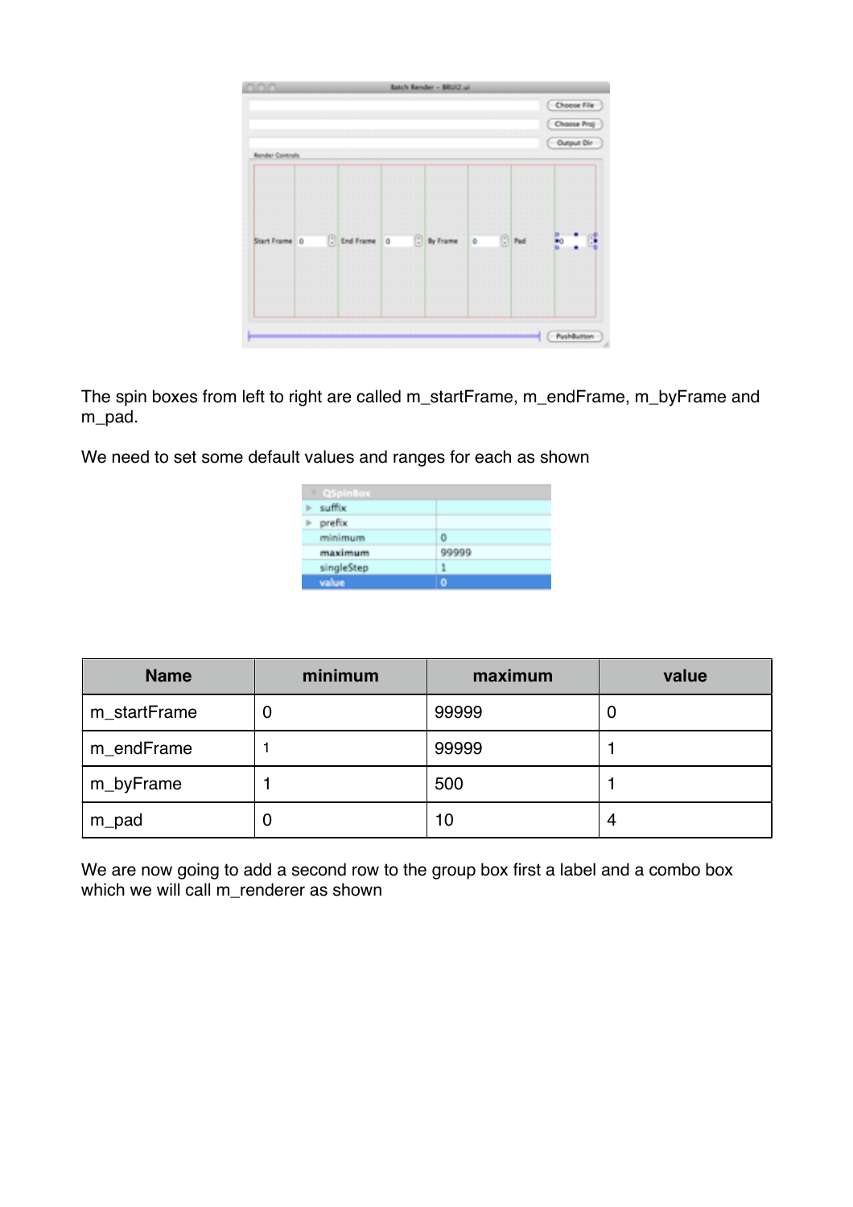| mn                     |               | Batch Render - BRUIZ.ui |    |            |             |
|------------------------|---------------|-------------------------|----|------------|-------------|
|                        |               |                         |    |            | Choose File |
|                        |               |                         |    |            | Choose Proj |
|                        |               |                         |    |            | Output Dir  |
| <b>Render Controls</b> |               |                         |    |            |             |
|                        |               |                         |    |            |             |
|                        |               |                         |    |            |             |
|                        |               |                         |    |            |             |
| Start Frame 0          | C End Frame 0 | <b>D</b> By Frame       | le | $\Box$ Pad |             |
|                        |               |                         |    |            |             |
|                        |               |                         |    |            |             |
|                        |               |                         |    |            |             |
|                        |               |                         |    |            |             |

The spin boxes from left to right are called m\_startFrame, m\_endFrame, m\_byFrame and m pad.

We need to set some default values and ranges for each as shown

| <b>QSpinBox</b> |       |
|-----------------|-------|
| suffix          |       |
| prefix          |       |
| minimum         | 0     |
| maximum         | 99999 |
| singleStep      | 1     |
| value           | ٥     |

| <b>Name</b>  | minimum | maximum | value |
|--------------|---------|---------|-------|
| m_startFrame | U       | 99999   | U     |
| m_endFrame   |         | 99999   |       |
| m_byFrame    |         | 500     |       |
| m_pad        | U       | 10      | 4     |

We are now going to add a second row to the group box first a label and a combo box which we will call m\_renderer as shown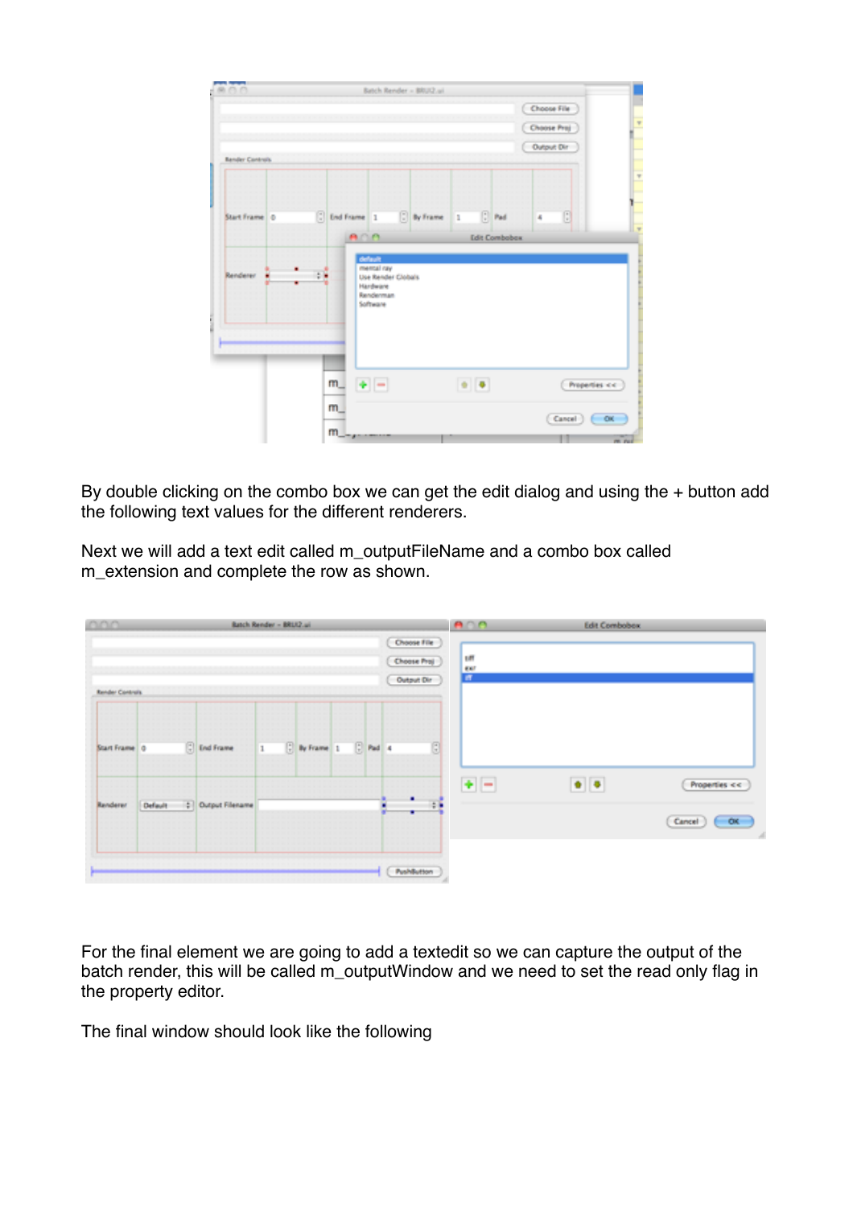| $-8000$         |               |            |                                                         | Batch Render - BRUZ.ui |              |                          |                      |                                          |   |               |  |
|-----------------|---------------|------------|---------------------------------------------------------|------------------------|--------------|--------------------------|----------------------|------------------------------------------|---|---------------|--|
|                 |               |            |                                                         |                        |              |                          |                      | Choose File<br>Choose Proj<br>Output Dir |   |               |  |
| Render Controls |               |            |                                                         |                        |              |                          |                      |                                          |   |               |  |
| Start Frame 0   | C End Frame 1 |            |                                                         | C By Frame             | $\mathbf{1}$ |                          | $\Box$ Pad           | ×                                        | o |               |  |
|                 |               | $A \cap A$ |                                                         |                        |              |                          | <b>Edit Combobox</b> |                                          |   |               |  |
| Renderer        |               |            | Use Render Clobals<br>Hardware<br>Renderman<br>Software |                        |              |                          |                      |                                          |   |               |  |
|                 | m             | $+$ $-$    |                                                         |                        |              | $\bullet$ $\,$ $\bullet$ |                      |                                          |   | Properties << |  |
|                 | m             |            |                                                         |                        |              |                          |                      |                                          |   |               |  |

By double clicking on the combo box we can get the edit dialog and using the + button add the following text values for the different renderers.

Next we will add a text edit called m\_outputFileName and a combo box called m extension and complete the row as shown.

| noo.            |         |                    | Ratch Render - BRL12 ail |                                                                                   |           |                                           | $A \cap A$ | <b>Edit Combobox</b> |                  |
|-----------------|---------|--------------------|--------------------------|-----------------------------------------------------------------------------------|-----------|-------------------------------------------|------------|----------------------|------------------|
|                 |         |                    |                          |                                                                                   |           | Choose File                               |            |                      |                  |
|                 |         |                    |                          |                                                                                   |           | Choose Proj<br>Output Dir                 | un<br>Bi   |                      |                  |
| Render Controls |         |                    |                          |                                                                                   |           |                                           |            |                      |                  |
|                 |         |                    |                          |                                                                                   |           |                                           |            |                      |                  |
| Start Frame 0   |         | <b>C</b> End Frame | $\mathbf{1}$             | $\begin{bmatrix} 1 \\ 2 \end{bmatrix}$ By Frame $\begin{bmatrix} 1 \end{bmatrix}$ | $E$ Pad 4 | $\begin{array}{c} \hline \Xi \end{array}$ |            |                      |                  |
|                 |         |                    |                          |                                                                                   |           |                                           | $+$ $-$    | $\bullet$ $\bullet$  | Properties <<    |
| Renderer        | Default | C Output Filename  |                          |                                                                                   |           | $\ddot{z}$<br>٠                           |            |                      | Cancel<br>$-$ ox |
|                 |         |                    |                          |                                                                                   |           |                                           |            |                      |                  |
|                 |         |                    |                          |                                                                                   |           | PushButton                                |            |                      |                  |

For the final element we are going to add a textedit so we can capture the output of the batch render, this will be called m\_outputWindow and we need to set the read only flag in the property editor.

The final window should look like the following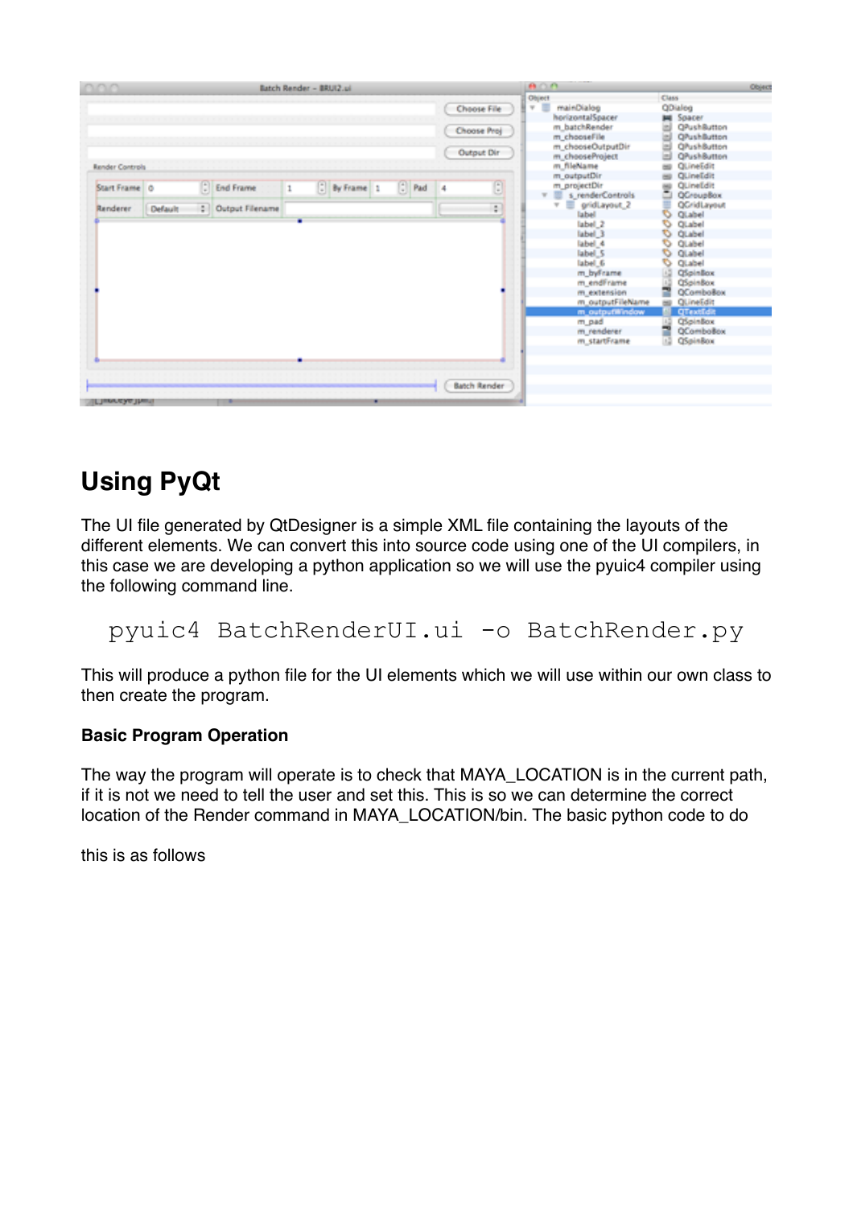| nnn                                                 |         |                                  | Batch Render - BRU(2.pl |              |   |                                                                   |                |                                                    |                                |                                                                                                                                                                                                                                                                                                                                                         |                                                                      |                                                                                                                                                                                                                                                                                                                        | Object |
|-----------------------------------------------------|---------|----------------------------------|-------------------------|--------------|---|-------------------------------------------------------------------|----------------|----------------------------------------------------|--------------------------------|---------------------------------------------------------------------------------------------------------------------------------------------------------------------------------------------------------------------------------------------------------------------------------------------------------------------------------------------------------|----------------------------------------------------------------------|------------------------------------------------------------------------------------------------------------------------------------------------------------------------------------------------------------------------------------------------------------------------------------------------------------------------|--------|
| <b>Render Controls</b><br>Start Frame 0<br>Renderer | Default | : End Frame<br>C Output Filename | $\,1\,$                 | D By Frame 1 |   | $\left  \begin{smallmatrix} 1 \\ 2 \end{smallmatrix} \right $ Pad | $\overline{4}$ | Choose File<br>Choose Proj<br>Output Dir<br>Đ<br>÷ | $A \cap \Omega$<br>Object<br>W | mainDialog<br>horizontalSpacer<br>m_batchRender<br>m chooseFile<br>m chooseOutputDir<br>m_chooseProject<br>m fileName<br>m outputDir<br>m projectDir<br>s renderControls<br>w<br>图<br>gridLayout_2<br>v<br>label<br>label 2<br>label 3<br>label 4<br>label 5<br>label 6<br>m byFrame<br>m.endFrame<br>m_extension<br>m outputFileName<br>m output@indow | Class<br>m<br>man i<br>$\rightarrow$<br>O<br>⇖<br>₿<br>6<br>$\omega$ | QDialog<br>Spacer<br><b>OPushButton</b><br><b>OPushButton</b><br><b>O</b> PushButton<br><b>QPushButton</b><br>QLineEdit<br>QLineEdit<br>QLineEdit<br>QCroupBox<br>QCridLayout<br>QLabel<br>QLabel<br>QLabel<br>QLabel<br>QLabel<br>QLabel<br>OSpinBox<br><b>QSpinBox</b><br>QComboBox<br>QLineEdit<br><b>QTextEdit</b> |        |
| <b><i><u>FTWWW.ASAA</u></i></b> Thurst              |         | ٠                                |                         |              | ۰ |                                                                   |                | <b>Batch Render</b>                                |                                | m_pad<br>m renderer<br>m startFrame                                                                                                                                                                                                                                                                                                                     | 15                                                                   | QSpinBox<br>QComboBox<br>QSpinBox                                                                                                                                                                                                                                                                                      |        |

# **Using PyQt**

The UI file generated by QtDesigner is a simple XML file containing the layouts of the different elements. We can convert this into source code using one of the UI compilers, in this case we are developing a python application so we will use the pyuic4 compiler using the following command line.

### pyuic4 BatchRenderUI.ui -o BatchRender.py

This will produce a python file for the UI elements which we will use within our own class to then create the program.

#### **Basic Program Operation**

The way the program will operate is to check that MAYA\_LOCATION is in the current path, if it is not we need to tell the user and set this. This is so we can determine the correct location of the Render command in MAYA\_LOCATION/bin. The basic python code to do

this is as follows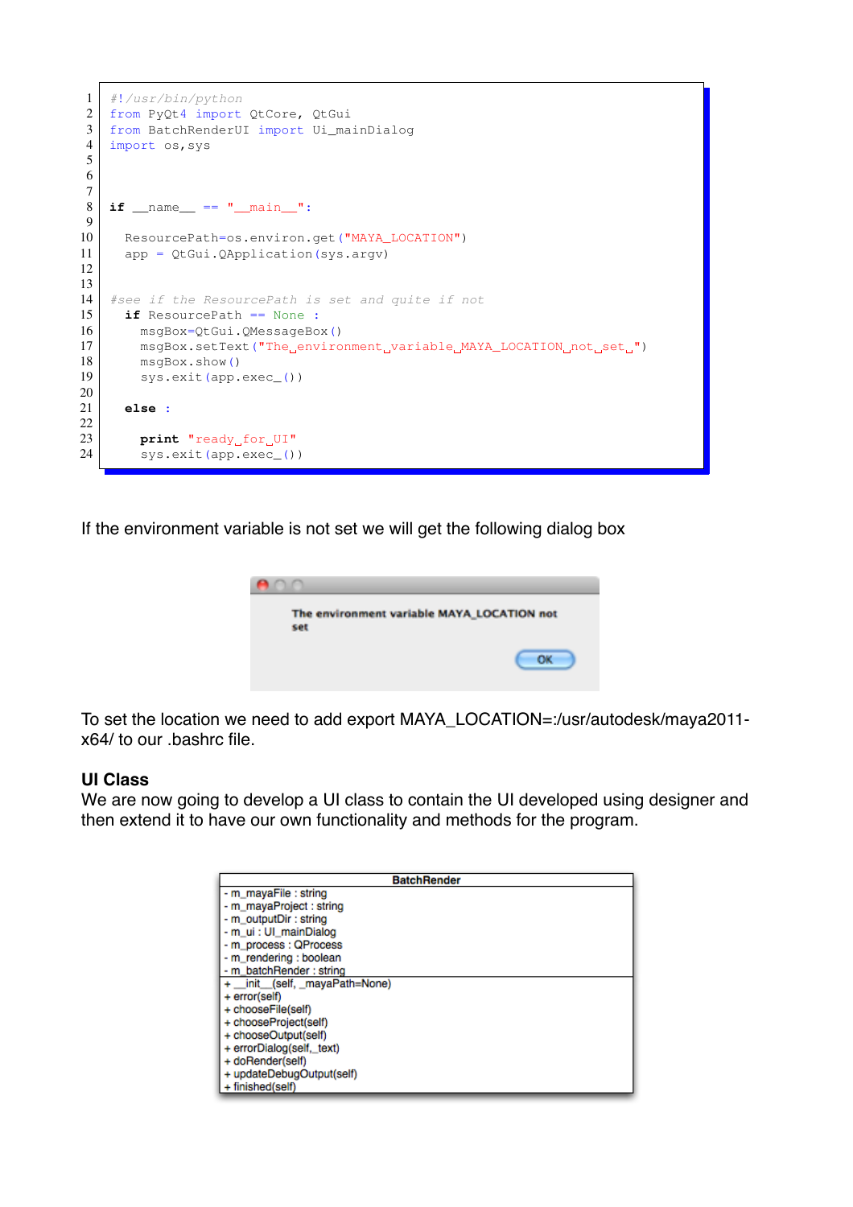```
1 #!/usr/bin/python
2 from PyQt4 import QtCore, QtGui
3 from BatchRenderUI import Ui_mainDialog
4 import os, sys
5
6
7
8 | if __name__ == " _main_":
9
10 ResourcePath=os.environ.get("MAYA_LOCATION")
11 app = QtGui.QApplication(sys.argv)
12
13
14 #see if the ResourcePath is set and quite if not
15 if ResourcePath == None :
16 msgBox=QtGui.QMessageBox()
17 msgBox.setText("The environment variable MAYA_LOCATION not set ")
18 msgBox.show()
19 sys.exit(app.exec_())
20
21 else :
22
23 print "ready_for_UI"
24 sys.exit(app.exec_())
```
If the environment variable is not set we will get the following dialog box



To set the location we need to add export MAYA\_LOCATION=:/usr/autodesk/maya2011 x64/ to our .bashrc file.

#### **UI Class**

We are now going to develop a UI class to contain the UI developed using designer and then extend it to have our own functionality and methods for the program.

|                                | <b>BatchRender</b> |
|--------------------------------|--------------------|
| - m_mayaFile : string          |                    |
| - m_mayaProject : string       |                    |
| - m_outputDir: string          |                    |
| - m_ui : UI_mainDialog         |                    |
| - m_process : QProcess         |                    |
| - m_rendering : boolean        |                    |
| - m_batchRender: string        |                    |
| + _init_(self, _mayaPath=None) |                    |
| + error(self)                  |                    |
| + chooseFile(self)             |                    |
| + chooseProject(self)          |                    |
| + chooseOutput(self)           |                    |
| + errorDialog(self, text)      |                    |
| + doRender(self)               |                    |
| + updateDebugOutput(self)      |                    |
| + finished(self)               |                    |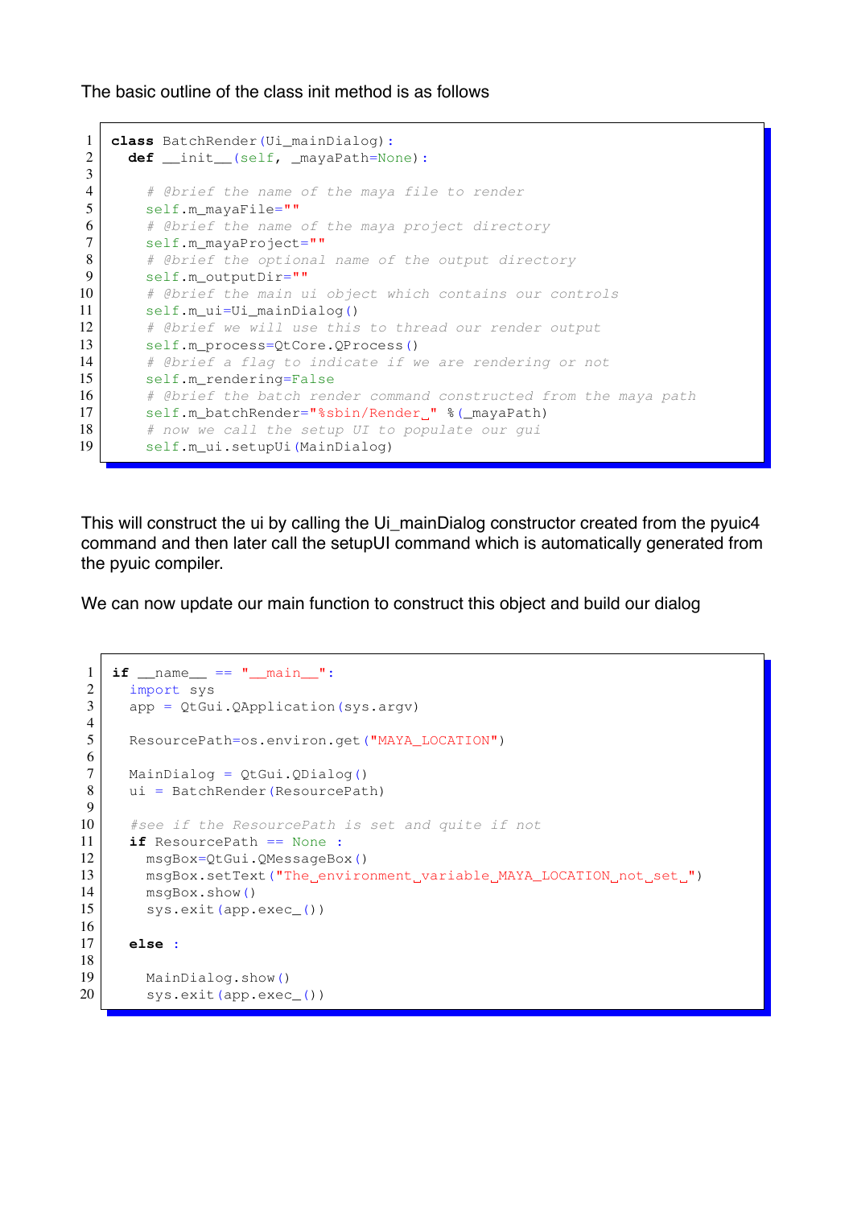The basic outline of the class init method is as follows

```
1 class BatchRender(Ui mainDialog):
2 def __init_(self, _mayaPath=None):
3
4 # @brief the name of the maya file to render
5 self.m mayaFile=""
6 # @brief the name of the maya project directory
7 self.m_mayaProject=""
8 # @brief the optional name of the output directory
9 self.m_outputDir=""
10 # @brief the main ui object which contains our controls
11 self.m ui=Ui mainDialog()
12 # @brief we will use this to thread our render output
13 self.m_process=QtCore.QProcess()
14 # @brief a flag to indicate if we are rendering or not
15 self.m rendering=False
16 # @brief the batch render command constructed from the maya path
17 | self.m_batchRender="%sbin/Render_" %(_mayaPath)
18 # now we call the setup UI to populate our gui
19 self.m_ui.setupUi(MainDialog)
```
This will construct the ui by calling the Ui\_mainDialog constructor created from the pyuic4 command and then later call the setupUI command which is automatically generated from the pyuic compiler.

We can now update our main function to construct this object and build our dialog

```
1 | if __name__ == " __main__":
2 import sys
3 \mid app = QtGui.QApplication(sys.argv)
4
5 ResourcePath=os.environ.get("MAYA_LOCATION")
6
7 MainDialog = QtGui.QDialog()
8 ui = BatchRender (ResourcePath)
9
10 #see if the ResourcePath is set and quite if not
11 if ResourcePath == None :
12 | msgBox=QtGui.QMessageBox()
13 msgBox.setText("The environment variable MAYA_LOCATION not set.")
14 msgBox.show()
15 sys.exit(app.exec())
16
17 else :
18
19 MainDialog.show()
20 sys.exit(app.exec_())
```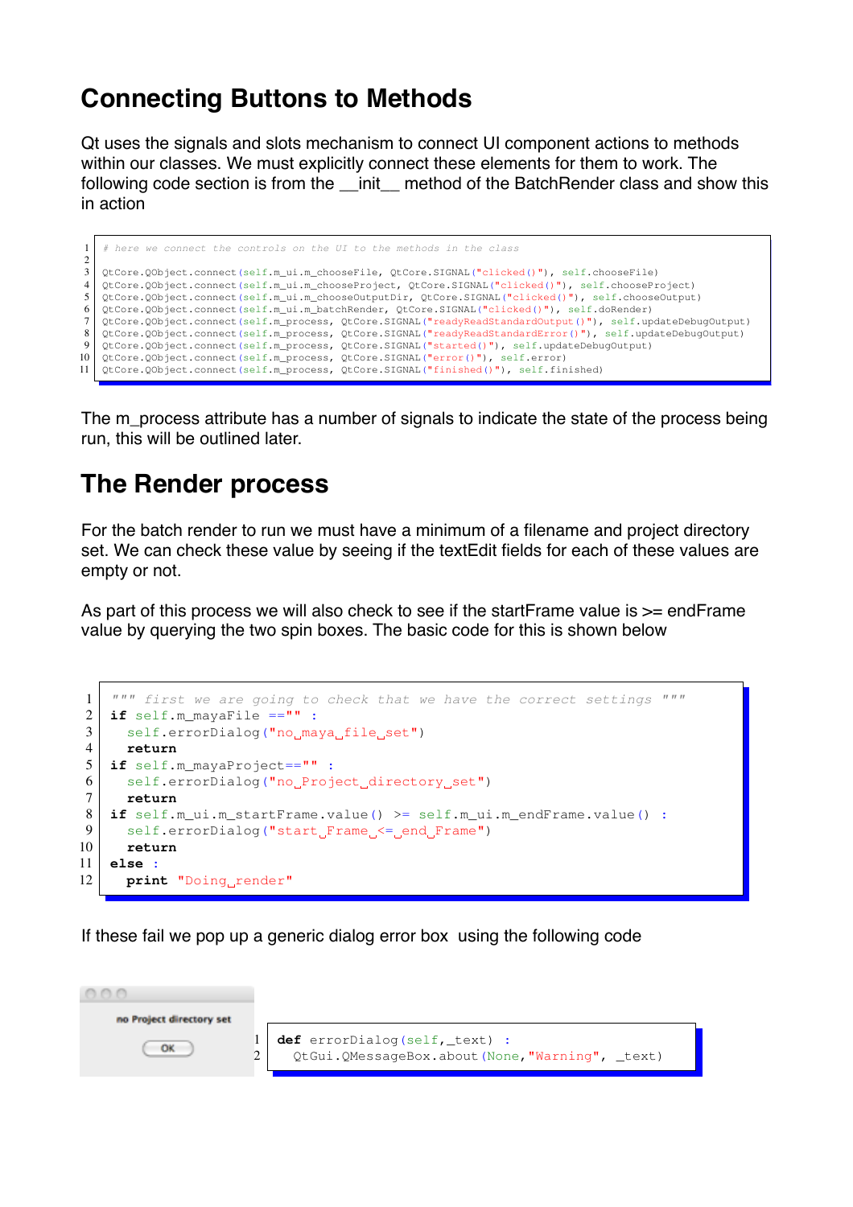# **Connecting Buttons to Methods**

Qt uses the signals and slots mechanism to connect UI component actions to methods within our classes. We must explicitly connect these elements for them to work. The following code section is from the \_\_init\_\_ method of the BatchRender class and show this in action

| $1 \mid #$ here we connect the controls on the UI to the methods in the class                                  |
|----------------------------------------------------------------------------------------------------------------|
|                                                                                                                |
| $3 \mid$ QtCore.QObject.connect(self.m_ui.m_chooseFile, QtCore.SIGNAL("clicked()"), self.chooseFile)           |
| 4   QtCore.QObject.connect(self.m_ui.m_chooseProject, QtCore.SIGNAL("clicked()"), self.chooseProject)          |
| 5   QtCore.QObject.connect(self.m_ui.m_chooseOutputDir, QtCore.SIGNAL("clicked()"), self.chooseOutput)         |
| $6$   QtCore. QObject.connect(self.m_ui.m_batchRender, QtCore.SIGNAL("clicked()"), self.doRender)              |
| 7   QtCore.QObject.connect(self.m_process, QtCore.SIGNAL("readyReadStandardOutput()"), self.updateDebuqOutput) |
| 8   OtCore.OObject.connect(self.m process, OtCore.SIGNAL("readyReadStandardError()"), self.updateDebuqOutput)  |
| 9   QtCore. QObject.connect(self.m_process, QtCore. SIGNAL("started()"), self.updateDebuqOutput)               |
| l0   QtCore.QObject.connect(self.m_process, QtCore.SIGNAL("error()"), self.error)                              |
| [1] OtCore.OObject.connect(self.m process, OtCore.SIGNAL("finished()"), self.finished)                         |
|                                                                                                                |

The m\_process attribute has a number of signals to indicate the state of the process being run, this will be outlined later.

## **The Render process**

f

For the batch render to run we must have a minimum of a filename and project directory set. We can check these value by seeing if the textEdit fields for each of these values are empty or not.

As part of this process we will also check to see if the startFrame value is >= endFrame value by querying the two spin boxes. The basic code for this is shown below

```
1 """ first we are going to check that we have the correct settings """
2 \mid \text{if} \text{self.m} \text{max}File =="" :
3 self.errorDialog("no maya file set")
4 return
5 if self.m_mayaProject=="" :
6 self.errorDialog("noProject_directory_set")<br>7 return
     7 return
8 if self.m_ui.m_startFrame.value() >= self.m_ui.m_endFrame.value() :
9 self.errorDialog("start_Frame_<=_end_Frame")<br>10 return
      10 return
11 else :
12 print "Doing render"
```
If these fail we pop up a generic dialog error box using the following code

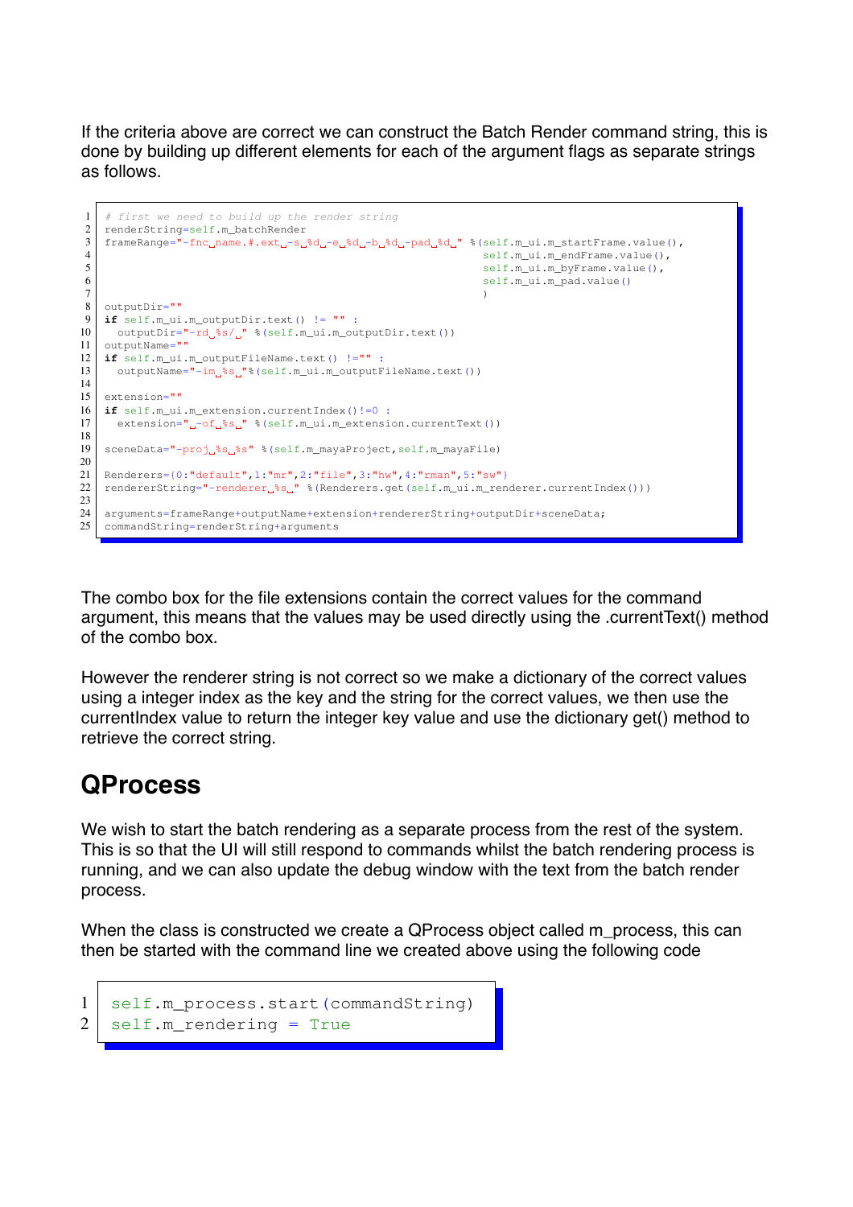If the criteria above are correct we can construct the Batch Render command string, this is done by building up different elements for each of the argument flags as separate strings as follows.

```
1 # first we need to build up the render string
2 renderString=self.m_batchRender
3 \mid frameRange="-fnc_name.#.ext_-s_%d_-e_%d_-b_%d_-pad_%d_" %(self.m_ui.m_startFrame.value(),
4 self.m_ui.m_endFrame.value(),
5 self.m_ui.m_byFrame.value(),
\begin{pmatrix} 6 \\ 7 \end{pmatrix} self.m_ui.m_pad.value()
 7 \mid )
8 outputDir=""
9 if self.m_ui.m_outputDir.text() != "" :
10 | outputDir="-rd_%s/_" %(self.m_ui.m_outputDir.text())
11 | outputName=""
12 if self.m_ui.m_outputFileName.text() !="" :
13 outputName="-im %s "% (self.m_ui.m_outputFileName.text())
14
15 extension=""
16 if self.m_ui.m_extension.currentIndex()!=0 :
17 extension="-of \frac{1}{2}s " \frac{1}{2} (self.m ui.m extension.currentText())
18
19 sceneData="-proj \frac{2}{5}s" \frac{2}{5} (self.m_mayaProject,self.m_mayaFile)
20
21 Renderers={0:"default",1:"mr",2:"file",3:"hw",4:"rman",5:"sw"}
22 rendererString="-renderer_%s_" %(Renderers.get(self.m_ui.m_renderer.currentIndex()))
2324 arguments=frameRange+outputName+extension+rendererString+outputDir+sceneData;
25 commandString=renderString+arguments
```
The combo box for the file extensions contain the correct values for the command argument, this means that the values may be used directly using the .currentText() method of the combo box.

However the renderer string is not correct so we make a dictionary of the correct values using a integer index as the key and the string for the correct values, we then use the currentIndex value to return the integer key value and use the dictionary get() method to retrieve the correct string.

## **QProcess**

We wish to start the batch rendering as a separate process from the rest of the system. This is so that the UI will still respond to commands whilst the batch rendering process is running, and we can also update the debug window with the text from the batch render process.

When the class is constructed we create a QProcess object called m\_process, this can then be started with the command line we created above using the following code

```
1 | self.m_process.start(commandString)
2 self.m_rendering = True
```